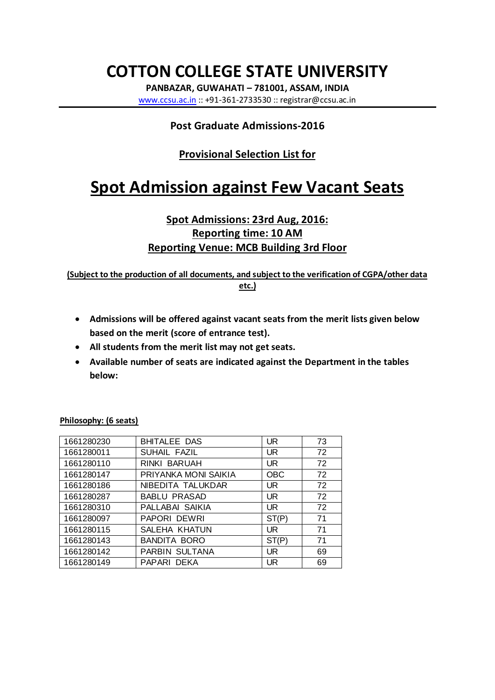# **COTTON COLLEGE STATE UNIVERSITY**

**PANBAZAR, GUWAHATI – 781001, ASSAM, INDIA** www.ccsu.ac.in :: +91-361-2733530 :: registrar@ccsu.ac.in

### **Post Graduate Admissions-2016**

## **Provisional Selection List for**

# **Spot Admission against Few Vacant Seats**

### **Spot Admissions: 23rd Aug, 2016: Reporting time: 10 AM Reporting Venue: MCB Building 3rd Floor**

**(Subject to the production of all documents, and subject to the verification of CGPA/other data etc.)**

- · **Admissions will be offered against vacant seats from the merit lists given below based on the merit (score of entrance test).**
- · **All students from the merit list may not get seats.**
- · **Available number of seats are indicated against the Department in the tables below:**

| 1661280230 | <b>BHITALEE DAS</b>  | UR.        | 73 |
|------------|----------------------|------------|----|
| 1661280011 | SUHAIL FAZIL         | UR.        | 72 |
| 1661280110 | RINKI BARUAH         | <b>UR</b>  | 72 |
| 1661280147 | PRIYANKA MONI SAIKIA | <b>OBC</b> | 72 |
| 1661280186 | NIBEDITA TALUKDAR    | UR.        | 72 |
| 1661280287 | <b>BABLU PRASAD</b>  | <b>UR</b>  | 72 |
| 1661280310 | PALLABAI SAIKIA      | UR.        | 72 |
| 1661280097 | PAPORI DEWRI         | ST(P)      | 71 |
| 1661280115 | SALEHA KHATUN        | UR         | 71 |
| 1661280143 | <b>BANDITA BORO</b>  | ST(P)      | 71 |
| 1661280142 | PARBIN SULTANA       | UR.        | 69 |
| 1661280149 | PAPARI DEKA          | UR         | 69 |

**Philosophy: (6 seats)**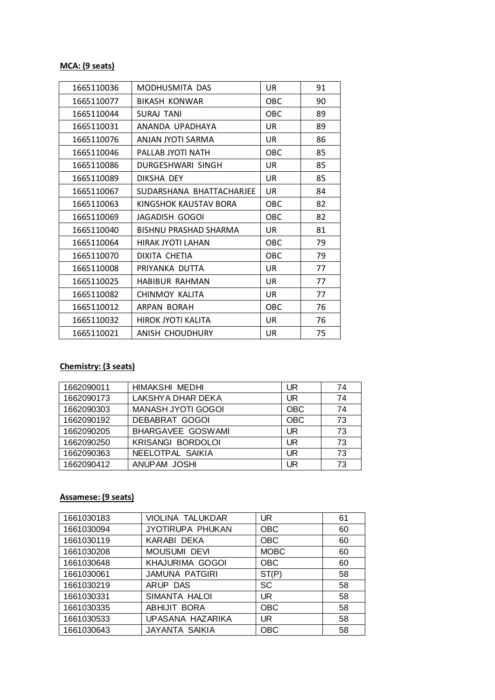#### **MCA: (9 seats)**

| 1665110036 | MODHUSMITA DAS               | UR.        | 91 |
|------------|------------------------------|------------|----|
| 1665110077 | <b>BIKASH KONWAR</b>         | <b>OBC</b> | 90 |
| 1665110044 | <b>SURAJ TANI</b>            | <b>OBC</b> | 89 |
| 1665110031 | ANANDA UPADHAYA              | <b>UR</b>  | 89 |
| 1665110076 | ANJAN JYOTI SARMA            | UR.        | 86 |
| 1665110046 | PALLAB JYOTI NATH            | <b>OBC</b> | 85 |
| 1665110086 | DURGESHWARI SINGH            | UR         | 85 |
| 1665110089 | DIKSHA DEY                   | <b>UR</b>  | 85 |
| 1665110067 | SUDARSHANA BHATTACHARJEE     | UR         | 84 |
| 1665110063 | KINGSHOK KAUSTAV BORA        | OBC        | 82 |
| 1665110069 | JAGADISH GOGOI               | <b>OBC</b> | 82 |
| 1665110040 | <b>BISHNU PRASHAD SHARMA</b> | UR         | 81 |
| 1665110064 | HIRAK JYOTI LAHAN            | <b>OBC</b> | 79 |
| 1665110070 | DIXITA CHETIA                | <b>OBC</b> | 79 |
| 1665110008 | PRIYANKA DUTTA               | UR         | 77 |
| 1665110025 | <b>HABIBUR RAHMAN</b>        | UR         | 77 |
| 1665110082 | CHINMOY KALITA               | <b>UR</b>  | 77 |
| 1665110012 | ARPAN BORAH                  | <b>OBC</b> | 76 |
| 1665110032 | HIROK JYOTI KALITA           | <b>UR</b>  | 76 |
| 1665110021 | ANISH CHOUDHURY              | UR         | 75 |

# **Chemistry: (3 seats)**

| 1662090011 | <b>HIMAKSHI MEDHI</b>     | UR         | 74 |
|------------|---------------------------|------------|----|
| 1662090173 | LAKSHYA DHAR DEKA         | UR         | 74 |
| 1662090303 | <b>MANASH JYOTI GOGOI</b> | <b>OBC</b> | 74 |
| 1662090192 | <b>DEBABRAT GOGOI</b>     | <b>OBC</b> | 73 |
| 1662090205 | BHARGAVEE GOSWAMI         | UR         | 73 |
| 1662090250 | <b>KRISANGI BORDOLOI</b>  | UR         | 73 |
| 1662090363 | NEELOTPAL SAIKIA          | UR         | 73 |
| 1662090412 | ANUPAM JOSHI              | UR         | 73 |

#### **Assamese: (9 seats)**

| 1661030183 | VIOLINA TALUKDAR      | <b>UR</b>   | 61 |
|------------|-----------------------|-------------|----|
| 1661030094 | JYOTIRUPA PHUKAN      | <b>OBC</b>  | 60 |
| 1661030119 | KARABI DEKA           | <b>OBC</b>  | 60 |
| 1661030208 | <b>MOUSUMI DEVI</b>   | <b>MOBC</b> | 60 |
| 1661030648 | KHAJURIMA GOGOI       | <b>OBC</b>  | 60 |
| 1661030061 | JAMUNA PATGIRI        | ST(P)       | 58 |
| 1661030219 | ARUP DAS              | SC          | 58 |
| 1661030331 | SIMANTA HALOI         | <b>UR</b>   | 58 |
| 1661030335 | ABHIJIT BORA          | <b>OBC</b>  | 58 |
| 1661030533 | UPASANA HAZARIKA      | <b>UR</b>   | 58 |
| 1661030643 | <b>JAYANTA SAIKIA</b> | <b>OBC</b>  | 58 |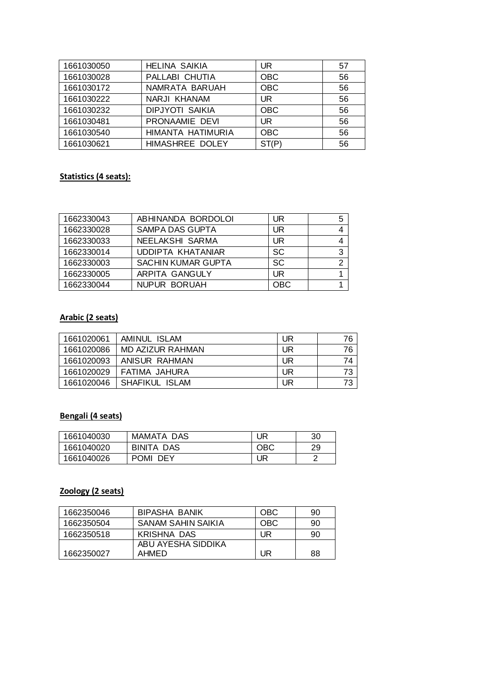| 1661030050 | <b>HELINA SAIKIA</b>   | UR.        | 57 |
|------------|------------------------|------------|----|
| 1661030028 | PALLABI CHUTIA         | <b>OBC</b> | 56 |
| 1661030172 | NAMRATA BARUAH         | <b>OBC</b> | 56 |
| 1661030222 | NARJI KHANAM           | <b>UR</b>  | 56 |
| 1661030232 | <b>DIPJYOTI SAIKIA</b> | <b>OBC</b> | 56 |
| 1661030481 | PRONAAMIE DEVI         | <b>UR</b>  | 56 |
| 1661030540 | HIMANTA HATIMURIA      | <b>OBC</b> | 56 |
| 1661030621 | HIMASHREE DOLEY        | ST(P)      | 56 |

#### **Statistics (4 seats):**

| 1662330043 | ABHINANDA BORDOLOI        | UR         | 5 |
|------------|---------------------------|------------|---|
| 1662330028 | SAMPA DAS GUPTA           | UR         |   |
| 1662330033 | NEELAKSHI SARMA           | UR         |   |
| 1662330014 | UDDIPTA KHATANIAR         | <b>SC</b>  | 3 |
| 1662330003 | <b>SACHIN KUMAR GUPTA</b> | <b>SC</b>  |   |
| 1662330005 | ARPITA GANGULY            | UR         |   |
| 1662330044 | NUPUR BORUAH              | <b>OBC</b> |   |

#### **Arabic (2 seats)**

| 1661020061 | AMINUL ISLAM     | UR | 76 |
|------------|------------------|----|----|
| 1661020086 | MD AZIZUR RAHMAN | UR | 76 |
| 1661020093 | ANISUR RAHMAN    | UR | 74 |
| 1661020029 | FATIMA JAHURA    | UR | 73 |
| 1661020046 | SHAFIKUL ISLAM   | UR | 73 |

# **Bengali (4 seats)**

| 1661040030 | MAMATA DAS           | UR  | 30 |
|------------|----------------------|-----|----|
| 1661040020 | BINITA DAS           | OBC | 29 |
| 1661040026 | <b>POMI</b><br>- DEY | UR  |    |

#### **Zoology (2 seats)**

| 1662350046 | BIPASHA BANIK      | <b>OBC</b> | 90 |
|------------|--------------------|------------|----|
| 1662350504 | SANAM SAHIN SAIKIA | OBC        | 90 |
| 1662350518 | KRISHNA DAS        | UR         | 90 |
|            | ABU AYESHA SIDDIKA |            |    |
| 1662350027 | AHMED              | UR         | 88 |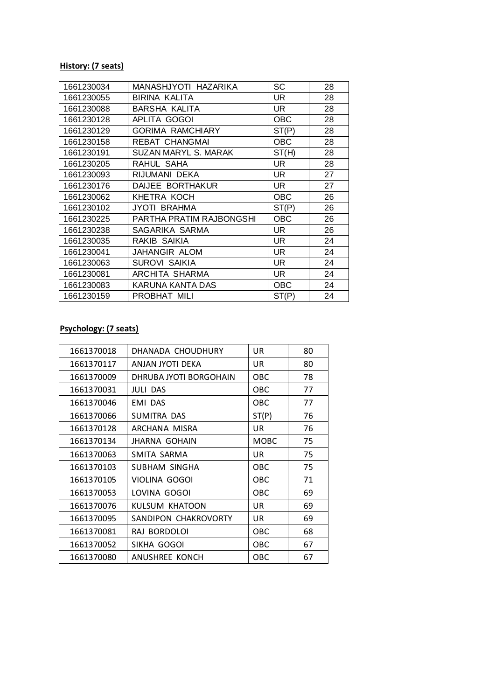#### **History: (7 seats)**

| 1661230034 | MANASHJYOTI HAZARIKA     | SC         | 28 |
|------------|--------------------------|------------|----|
| 1661230055 | BIRINA KALITA            | UR         | 28 |
| 1661230088 | BARSHA KALITA            | <b>UR</b>  | 28 |
| 1661230128 | APLITA GOGOI             | <b>OBC</b> | 28 |
| 1661230129 | <b>GORIMA RAMCHIARY</b>  | ST(P)      | 28 |
| 1661230158 | REBAT CHANGMAI           | <b>OBC</b> | 28 |
| 1661230191 | SUZAN MARYL S. MARAK     | ST(H)      | 28 |
| 1661230205 | RAHUL SAHA               | UR         | 28 |
| 1661230093 | RIJUMANI DEKA            | UR         | 27 |
| 1661230176 | DAIJEE BORTHAKUR         | <b>UR</b>  | 27 |
| 1661230062 | KHETRA KOCH              | <b>OBC</b> | 26 |
| 1661230102 | JYOTI BRAHMA             | ST(P)      | 26 |
| 1661230225 | PARTHA PRATIM RAJBONGSHI | <b>OBC</b> | 26 |
| 1661230238 | SAGARIKA SARMA           | UR.        | 26 |
| 1661230035 | RAKIB SAIKIA             | UR.        | 24 |
| 1661230041 | JAHANGIR ALOM            | UR         | 24 |
| 1661230063 | SUROVI SAIKIA            | UR.        | 24 |
| 1661230081 | ARCHITA SHARMA           | UR.        | 24 |
| 1661230083 | KARUNA KANTA DAS         | <b>OBC</b> | 24 |
| 1661230159 | PROBHAT MILI             | ST(P)      | 24 |

# **Psychology: (7 seats)**

| 1661370018 | DHANADA CHOUDHURY      | UR         | 80 |
|------------|------------------------|------------|----|
| 1661370117 | ANJAN JYOTI DEKA       | UR.        | 80 |
| 1661370009 | DHRUBA JYOTI BORGOHAIN | OBC        | 78 |
| 1661370031 | <b>JULI DAS</b>        | OBC        | 77 |
| 1661370046 | EMI DAS                | <b>OBC</b> | 77 |
| 1661370066 | SUMITRA DAS            | ST(P)      | 76 |
| 1661370128 | ARCHANA MISRA          | UR         | 76 |
| 1661370134 | <b>JHARNA GOHAIN</b>   | MOBC       | 75 |
| 1661370063 | SMITA SARMA            | UR         | 75 |
| 1661370103 | SUBHAM SINGHA          | <b>OBC</b> | 75 |
| 1661370105 | VIOLINA GOGOI          | OBC        | 71 |
| 1661370053 | LOVINA GOGOI           | OBC        | 69 |
| 1661370076 | KULSUM KHATOON         | UR         | 69 |
| 1661370095 | SANDIPON CHAKROVORTY   | UR         | 69 |
| 1661370081 | RAJ BORDOLOI           | OBC        | 68 |
| 1661370052 | SIKHA GOGOI            | OBC        | 67 |
| 1661370080 | ANUSHREE KONCH         | OBC        | 67 |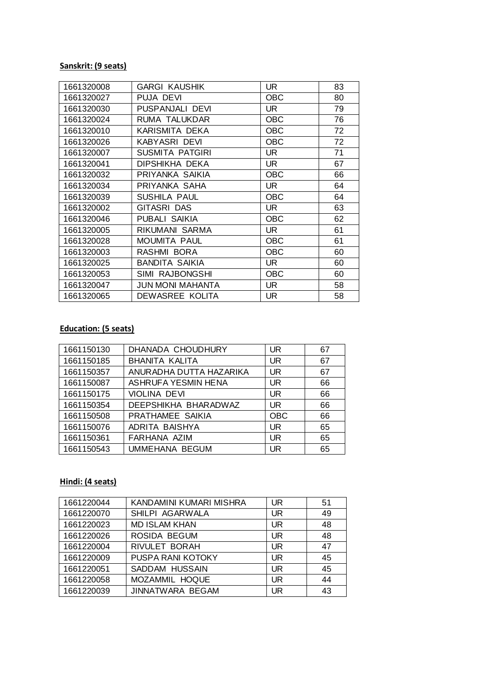#### **Sanskrit: (9 seats)**

| 1661320008 | GARGI KAUSHIK    | UR.        | 83 |
|------------|------------------|------------|----|
| 1661320027 | PUJA DEVI        | <b>OBC</b> | 80 |
| 1661320030 | PUSPANJALI DEVI  | UR.        | 79 |
| 1661320024 | RUMA TALUKDAR    | <b>OBC</b> | 76 |
| 1661320010 | KARISMITA DEKA   | <b>OBC</b> | 72 |
| 1661320026 | KABYASRI DEVI    | OBC        | 72 |
| 1661320007 | SUSMITA PATGIRI  | UR         | 71 |
| 1661320041 | DIPSHIKHA DEKA   | <b>UR</b>  | 67 |
| 1661320032 | PRIYANKA SAIKIA  | <b>OBC</b> | 66 |
| 1661320034 | PRIYANKA SAHA    | UR.        | 64 |
| 1661320039 | SUSHILA PAUL     | <b>OBC</b> | 64 |
| 1661320002 | GITASRI DAS      | UR         | 63 |
| 1661320046 | PUBALI SAIKIA    | OBC        | 62 |
| 1661320005 | RIKUMANI SARMA   | UR         | 61 |
| 1661320028 | MOUMITA PAUL     | <b>OBC</b> | 61 |
| 1661320003 | RASHMI BORA      | OBC        | 60 |
| 1661320025 | BANDITA SAIKIA   | UR         | 60 |
| 1661320053 | SIMI RAJBONGSHI  | <b>OBC</b> | 60 |
| 1661320047 | JUN MONI MAHANTA | UR.        | 58 |
| 1661320065 | DEWASREE KOLITA  | <b>UR</b>  | 58 |

#### **Education: (5 seats)**

| 1661150130 | DHANADA CHOUDHURY       | UR         | 67 |
|------------|-------------------------|------------|----|
| 1661150185 | <b>BHANITA KALITA</b>   | UR         | 67 |
| 1661150357 | ANURADHA DUTTA HAZARIKA | UR         | 67 |
| 1661150087 | ASHRUFA YESMIN HENA     | UR         | 66 |
| 1661150175 | VIOLINA DEVI            | UR         | 66 |
| 1661150354 | DEEPSHIKHA BHARADWAZ    | UR         | 66 |
| 1661150508 | PRATHAMEE SAIKIA        | <b>OBC</b> | 66 |
| 1661150076 | ADRITA BAISHYA          | UR         | 65 |
| 1661150361 | FARHANA AZIM            | UR         | 65 |
| 1661150543 | <b>UMMEHANA BEGUM</b>   | UR         | 65 |

#### **Hindi: (4 seats)**

| 1661220044 | KANDAMINI KUMARI MISHRA | <b>UR</b> | 51 |
|------------|-------------------------|-----------|----|
| 1661220070 | SHILPI AGARWALA         | UR.       | 49 |
| 1661220023 | <b>MD ISLAM KHAN</b>    | <b>UR</b> | 48 |
| 1661220026 | ROSIDA BEGUM            | <b>UR</b> | 48 |
| 1661220004 | RIVULET BORAH           | UR.       | 47 |
| 1661220009 | PUSPA RANI KOTOKY       | <b>UR</b> | 45 |
| 1661220051 | SADDAM HUSSAIN          | UR.       | 45 |
| 1661220058 | MOZAMMIL HOQUE          | UR.       | 44 |
| 1661220039 | JINNATWARA BEGAM        | UR        | 43 |